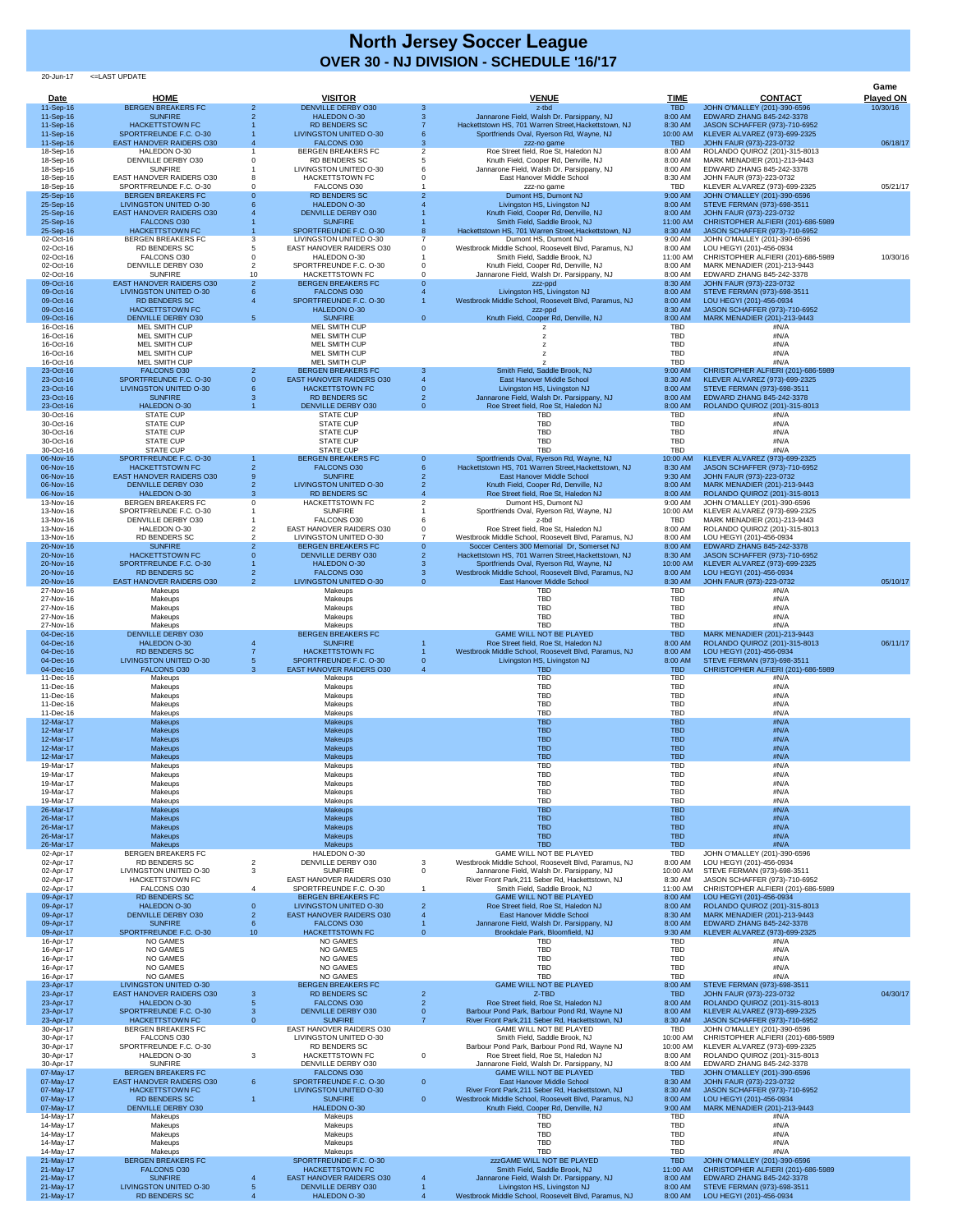20-Jun-17 <=LAST UPDATE

| Date                   | <b>HOME</b>                                                  |                 | <b>VISITOR</b>                                                   |                   | <b>VENUE</b>                                                                                        | <b>TIME</b>              | <b>CONTACT</b>                                                      | Game<br><b>Played ON</b> |
|------------------------|--------------------------------------------------------------|-----------------|------------------------------------------------------------------|-------------------|-----------------------------------------------------------------------------------------------------|--------------------------|---------------------------------------------------------------------|--------------------------|
| 11-Sep-16<br>11-Sep-16 | <b>BERGEN BREAKERS FC</b><br><b>SUNFIRE</b>                  |                 | <b>DENVILLE DERBY O30</b><br><b>HALEDON O-30</b>                 |                   | z-tbd<br>Jannarone Field, Walsh Dr. Parsippany, NJ                                                  | <b>TBD</b><br>8:00 AM    | JOHN O'MALLEY (201)-390-6596<br>EDWARD ZHANG 845-242-3378           | 10/30/16                 |
| 11-Sep-16<br>11-Sep-16 | <b>HACKETTSTOWN FC</b><br>SPORTFREUNDE F.C. O-30             |                 | <b>RD BENDERS SC</b><br><b>LIVINGSTON UNITED O-30</b>            |                   | Hackettstown HS, 701 Warren Street, Hackettstown, NJ<br>Sportfriends Oval, Ryerson Rd, Wayne, NJ    | 8:30 AM<br>10:00 AM      | JASON SCHAFFER (973)-710-6952<br>KLEVER ALVAREZ (973)-699-2325      |                          |
| 11-Sep-16              | <b>EAST HANOVER RAIDERS O30</b><br>HALEDON O-30              |                 | <b>FALCONS O30</b><br><b>BERGEN BREAKERS FC</b>                  |                   | zzz-no game<br>Roe Street field, Roe St, Haledon NJ                                                 | <b>TBD</b><br>8:00 AM    | JOHN FAUR (973)-223-0732                                            | 06/18/17                 |
| 18-Sep-16<br>18-Sep-16 | <b>DENVILLE DERBY O30</b>                                    |                 | <b>RD BENDERS SC</b>                                             |                   | Knuth Field, Cooper Rd, Denville, NJ                                                                | 8:00 AM                  | ROLANDO QUIROZ (201)-315-8013<br>MARK MENADIER (201)-213-9443       |                          |
| 18-Sep-16<br>18-Sep-16 | <b>SUNFIRE</b><br><b>EAST HANOVER RAIDERS O30</b>            |                 | <b>LIVINGSTON UNITED O-30</b><br><b>HACKETTSTOWN FC</b>          |                   | Jannarone Field, Walsh Dr. Parsippany, NJ<br>East Hanover Middle School                             | 8:00 AM<br>8:30 AM       | EDWARD ZHANG 845-242-3378<br>JOHN FAUR (973)-223-0732               |                          |
| 18-Sep-16<br>25-Sep-16 | SPORTFREUNDE F.C. O-30<br><b>BERGEN BREAKERS FC</b>          |                 | FALCONS O30<br><b>RD BENDERS SC</b>                              |                   | zzz-no game<br>Dumont HS, Dumont NJ                                                                 | TBD<br>9:00 AM           | KLEVER ALVAREZ (973)-699-2325<br>JOHN O'MALLEY (201)-390-6596       | 05/21/17                 |
| 25-Sep-16              | LIVINGSTON UNITED O-30                                       |                 | <b>HALEDON O-30</b>                                              |                   | Livingston HS, Livingston NJ                                                                        | 8:00 AM                  | STEVE FERMAN (973)-698-3511                                         |                          |
| 25-Sep-16<br>25-Sep-16 | <b>EAST HANOVER RAIDERS O30</b><br><b>FALCONS O30</b>        |                 | <b>DENVILLE DERBY O30</b><br><b>SUNFIRE</b>                      |                   | Knuth Field, Cooper Rd, Denville, NJ<br>Smith Field, Saddle Brook, NJ                               | 8:00 AM<br>11:00 AM      | JOHN FAUR (973)-223-0732<br>CHRISTOPHER ALFIERI (201)-686-5989      |                          |
| 25-Sep-16<br>02-Oct-16 | <b>HACKETTSTOWN FC</b><br><b>BERGEN BREAKERS FC</b>          |                 | SPORTFREUNDE F.C. O-30<br>LIVINGSTON UNITED O-30                 |                   | Hackettstown HS, 701 Warren Street, Hackettstown, NJ<br>Dumont HS, Dumont NJ                        | 8:30 AM<br>9:00 AM       | JASON SCHAFFER (973)-710-6952<br>JOHN O'MALLEY (201)-390-6596       |                          |
| 02-Oct-16              | <b>RD BENDERS SC</b>                                         |                 | <b>EAST HANOVER RAIDERS O30</b>                                  |                   | Westbrook Middle School, Roosevelt Blvd, Paramus, NJ                                                | 8:00 AM                  | LOU HEGYI (201)-456-0934                                            |                          |
| 02-Oct-16<br>02-Oct-16 | FALCONS O30<br><b>DENVILLE DERBY O30</b>                     |                 | HALEDON O-30<br>SPORTFREUNDE F.C. O-30                           |                   | Smith Field, Saddle Brook, NJ<br>Knuth Field, Cooper Rd, Denville, NJ                               | 11:00 AM<br>8:00 AM      | CHRISTOPHER ALFIERI (201)-686-5989<br>MARK MENADIER (201)-213-9443  | 10/30/16                 |
| 02-Oct-16<br>09-Oct-16 | <b>SUNFIRE</b><br><b>EAST HANOVER RAIDERS O30</b>            | 10              | <b>HACKETTSTOWN FC</b><br><b>BERGEN BREAKERS FC</b>              |                   | Jannarone Field, Walsh Dr. Parsippany, NJ<br>zzz-ppd                                                | 8:00 AM<br>8:30 AM       | EDWARD ZHANG 845-242-3378<br>JOHN FAUR (973)-223-0732               |                          |
| 09-Oct-16              | LIVINGSTON UNITED O-30                                       |                 | <b>FALCONS O30</b>                                               |                   | Livingston HS, Livingston NJ                                                                        | 8:00 AM                  | STEVE FERMAN (973)-698-3511                                         |                          |
| 09-Oct-16<br>09-Oct-16 | <b>RD BENDERS SC</b><br><b>HACKETTSTOWN FC</b>               |                 | SPORTFREUNDE F.C. O-30<br><b>HALEDON O-30</b>                    |                   | Westbrook Middle School, Roosevelt Blvd, Paramus, NJ<br>zzz-ppd                                     | 8:00 AM<br>8:30 AM       | LOU HEGYI (201)-456-0934<br>JASON SCHAFFER (973)-710-6952           |                          |
| 09-Oct-16<br>16-Oct-16 | <b>DENVILLE DERBY O30</b><br><b>MEL SMITH CUP</b>            | 5.              | <b>SUNFIRE</b><br><b>MEL SMITH CUP</b>                           | $\overline{0}$    | Knuth Field, Cooper Rd, Denville, NJ                                                                | 8:00 AM<br><b>TBD</b>    | MARK MENADIER (201)-213-9443<br>#N/A                                |                          |
| 16-Oct-16<br>16-Oct-16 | <b>MEL SMITH CUP</b><br>MEL SMITH CUP                        |                 | <b>MEL SMITH CUP</b><br><b>MEL SMITH CUP</b>                     |                   |                                                                                                     | <b>TBD</b><br><b>TBD</b> | #N/A<br>#N/A                                                        |                          |
| 16-Oct-16              | <b>MEL SMITH CUP</b>                                         |                 | <b>MEL SMITH CUP</b>                                             |                   |                                                                                                     | <b>TBD</b>               | #N/A                                                                |                          |
| 16-Oct-16<br>23-Oct-16 | MEL SMITH CUP<br><b>FALCONS O30</b>                          |                 | <b>MEL SMITH CUP</b><br><b>BERGEN BREAKERS FC</b>                | 3                 | Smith Field, Saddle Brook, NJ                                                                       | <b>TBD</b><br>9:00 AM    | #N/A<br>CHRISTOPHER ALFIERI (201)-686-5989                          |                          |
| 23-Oct-16<br>23-Oct-16 | SPORTFREUNDE F.C. O-30<br>LIVINGSTON UNITED O-30             |                 | <b>EAST HANOVER RAIDERS O30</b><br><b>HACKETTSTOWN FC</b>        |                   | <b>East Hanover Middle School</b><br>Livingston HS, Livingston NJ                                   | 8:30 AM<br>8:00 AM       | KLEVER ALVAREZ (973)-699-2325<br>STEVE FERMAN (973)-698-3511        |                          |
| 23-Oct-16              | <b>SUNFIRE</b>                                               |                 | <b>RD BENDERS SC</b>                                             |                   | Jannarone Field, Walsh Dr. Parsippany, NJ                                                           | 8:00 AM                  | EDWARD ZHANG 845-242-3378                                           |                          |
| 23-Oct-16<br>30-Oct-16 | HALEDON O-30<br><b>STATE CUP</b>                             |                 | <b>DENVILLE DERBY O30</b><br><b>STATE CUP</b>                    | $\overline{0}$    | Roe Street field, Roe St, Haledon NJ<br><b>TBD</b>                                                  | 8:00 AM<br><b>TBD</b>    | ROLANDO QUIROZ (201)-315-8013<br>#N/A                               |                          |
| 30-Oct-16<br>30-Oct-16 | <b>STATE CUP</b><br><b>STATE CUP</b>                         |                 | <b>STATE CUP</b><br><b>STATE CUP</b>                             |                   | <b>TBD</b><br><b>TBD</b>                                                                            | <b>TBD</b><br><b>TBD</b> | #N/A<br>#N/A                                                        |                          |
| 30-Oct-16              | <b>STATE CUP</b>                                             |                 | <b>STATE CUP</b>                                                 |                   | <b>TBD</b>                                                                                          | <b>TBD</b>               | #N/A                                                                |                          |
| 30-Oct-16<br>06-Nov-16 | <b>STATE CUP</b><br>SPORTFREUNDE F.C. O-30                   |                 | <b>STATE CUP</b><br><b>BERGEN BREAKERS FC</b>                    | $\Omega$          | <b>TBD</b><br>Sportfriends Oval, Ryerson Rd, Wayne, NJ                                              | <b>TBD</b><br>10:00 AM   | #N/A<br>KLEVER ALVAREZ (973)-699-2325                               |                          |
| 06-Nov-16              | <b>HACKETTSTOWN FC</b>                                       |                 | <b>FALCONS O30</b>                                               |                   | Hackettstown HS, 701 Warren Street, Hackettstown, NJ                                                | 8:30 AM                  | JASON SCHAFFER (973)-710-6952                                       |                          |
| 06-Nov-16<br>06-Nov-16 | <b>EAST HANOVER RAIDERS O30</b><br><b>DENVILLE DERBY O30</b> |                 | <b>SUNFIRE</b><br><b>LIVINGSTON UNITED O-30</b>                  |                   | East Hanover Middle School<br>Knuth Field, Cooper Rd, Denville, NJ                                  | 9:30 AM<br>8:00 AM       | JOHN FAUR (973)-223-0732<br>MARK MENADIER (201)-213-9443            |                          |
| 06-Nov-16<br>13-Nov-16 | <b>HALEDON O-30</b><br><b>BERGEN BREAKERS FC</b>             |                 | <b>RD BENDERS SC</b><br><b>HACKETTSTOWN FC</b>                   |                   | Roe Street field, Roe St, Haledon NJ<br>Dumont HS, Dumont NJ                                        | 8:00 AM<br>9:00 AM       | ROLANDO QUIROZ (201)-315-8013<br>JOHN O'MALLEY (201)-390-6596       |                          |
| 13-Nov-16              | SPORTFREUNDE F.C. O-30                                       |                 | <b>SUNFIRE</b><br>FALCONS O30                                    |                   | Sportfriends Oval, Ryerson Rd, Wayne, NJ                                                            | 10:00 AM                 | KLEVER ALVAREZ (973)-699-2325                                       |                          |
| 13-Nov-16<br>13-Nov-16 | DENVILLE DERBY O30<br>HALEDON O-30                           |                 | <b>EAST HANOVER RAIDERS O30</b>                                  |                   | z-tbd<br>Roe Street field, Roe St, Haledon NJ                                                       | <b>TBD</b><br>8:00 AM    | MARK MENADIER (201)-213-9443<br>ROLANDO QUIROZ (201)-315-8013       |                          |
| 13-Nov-16<br>20-Nov-16 | <b>RD BENDERS SC</b><br><b>SUNFIRE</b>                       |                 | <b>LIVINGSTON UNITED O-30</b><br><b>BERGEN BREAKERS FC</b>       | $\Omega$          | Westbrook Middle School, Roosevelt Blvd, Paramus, NJ<br>Soccer Centers 300 Memorial Dr, Somerset NJ | 8:00 AM<br>8:00 AM       | LOU HEGYI (201)-456-0934<br>EDWARD ZHANG 845-242-3378               |                          |
| 20-Nov-16<br>20-Nov-16 | <b>HACKETTSTOWN FC</b><br>SPORTFREUNDE F.C. O-30             |                 | <b>DENVILLE DERBY 030</b><br><b>HALEDON O-30</b>                 |                   | Hackettstown HS, 701 Warren Street, Hackettstown, NJ                                                | 8:30 AM                  | JASON SCHAFFER (973)-710-6952                                       |                          |
| 20-Nov-16              | <b>RD BENDERS SC</b>                                         |                 | <b>FALCONS O30</b>                                               |                   | Sportfriends Oval, Ryerson Rd, Wayne, NJ<br>Westbrook Middle School, Roosevelt Blvd, Paramus, NJ    | 10:00 AM<br>8:00 AM      | KLEVER ALVAREZ (973)-699-2325<br>LOU HEGYI (201)-456-0934           |                          |
| 20-Nov-16<br>27-Nov-16 | <b>EAST HANOVER RAIDERS O30</b><br>Makeups                   |                 | <b>LIVINGSTON UNITED O-30</b><br>Makeups                         | $\Omega$          | East Hanover Middle School<br><b>TBD</b>                                                            | 8:30 AM<br><b>TBD</b>    | JOHN FAUR (973)-223-0732<br>#N/A                                    | 05/10/17                 |
| 27-Nov-16              | Makeups                                                      |                 | Makeups                                                          |                   | <b>TBD</b><br><b>TBD</b>                                                                            | <b>TBD</b>               | #N/A                                                                |                          |
| 27-Nov-16<br>27-Nov-16 | Makeups<br>Makeups                                           |                 | Makeups<br>Makeups                                               |                   | <b>TBD</b>                                                                                          | <b>TBD</b><br><b>TBD</b> | #N/A<br>#N/A                                                        |                          |
| 27-Nov-16<br>04-Dec-16 | Makeups<br><b>DENVILLE DERBY O30</b>                         |                 | Makeups<br><b>BERGEN BREAKERS FC</b>                             |                   | <b>TBD</b><br><b>GAME WILL NOT BE PLAYED</b>                                                        | <b>TBD</b><br><b>TBD</b> | #N/A<br>MARK MENADIER (201)-213-9443                                |                          |
| 04-Dec-16              | <b>HALEDON O-30</b>                                          |                 | <b>SUNFIRE</b>                                                   |                   | Roe Street field, Roe St, Haledon NJ                                                                | 8:00 AM                  | ROLANDO QUIROZ (201)-315-8013                                       | 06/11/17                 |
| 04-Dec-16<br>04-Dec-16 | <b>RD BENDERS SC</b><br>LIVINGSTON UNITED O-30               |                 | <b>HACKETTSTOWN FC</b><br>SPORTFREUNDE F.C. O-30                 |                   | Westbrook Middle School, Roosevelt Blvd, Paramus, NJ<br>Livingston HS, Livingston NJ                | 8:00 AM<br>8:00 AM       | LOU HEGYI (201)-456-0934<br>STEVE FERMAN (973)-698-3511             |                          |
| 04-Dec-16<br>11-Dec-16 | <b>FALCONS O30</b><br>Makeups                                |                 | <b>EAST HANOVER RAIDERS O30</b><br>Makeups                       |                   | <b>TBD</b><br><b>TBD</b>                                                                            | <b>TBD</b><br><b>TBD</b> | CHRISTOPHER ALFIERI (201)-686-5989<br>#N/A                          |                          |
| 11-Dec-16              | Makeups                                                      |                 | Makeups                                                          |                   | <b>TBD</b>                                                                                          | <b>TBD</b>               | #N/A                                                                |                          |
| 11-Dec-16<br>11-Dec-16 | Makeups<br>Makeups                                           |                 | Makeups<br>Makeups                                               |                   | <b>TBD</b><br><b>TBD</b>                                                                            | <b>TBD</b><br><b>TBD</b> | #N/A<br>#N/A                                                        |                          |
| 11-Dec-16<br>12-Mar-17 | Makeups<br><b>Makeups</b>                                    |                 | Makeups<br><b>Makeups</b>                                        |                   | <b>TBD</b><br><b>TBD</b>                                                                            | <b>TBD</b><br><b>TBD</b> | #N/A<br>#N/A                                                        |                          |
| 12-Mar-17<br>12-Mar-17 | <b>Makeups</b>                                               |                 | <b>Makeups</b>                                                   |                   | <b>TBD</b><br><b>TBD</b>                                                                            | <b>TBD</b><br><b>TBD</b> | #N/A<br>#N/A                                                        |                          |
| 12-Mar-17              | <b>Makeups</b><br><b>Makeups</b>                             |                 | <b>Makeups</b><br><b>Makeups</b>                                 |                   | <b>TBD</b>                                                                                          | <b>TBD</b>               | #N/A                                                                |                          |
| 12-Mar-17<br>19-Mar-17 | <b>Makeups</b><br>Makeups                                    |                 | <b>Makeups</b><br>Makeups                                        |                   | <b>TBD</b><br><b>TBD</b>                                                                            | <b>TBD</b><br><b>TBD</b> | #N/A<br>#N/A                                                        |                          |
| 19-Mar-17<br>19-Mar-17 | Makeups<br>Makeups                                           |                 | Makeups<br>Makeups                                               |                   | <b>TBD</b><br><b>TBD</b>                                                                            | <b>TBD</b><br><b>TBD</b> | #N/A<br>#N/A                                                        |                          |
| 19-Mar-17              | Makeups                                                      |                 | Makeups                                                          |                   | <b>TBD</b>                                                                                          | <b>TBD</b>               | #N/A                                                                |                          |
| 19-Mar-17<br>26-Mar-17 | Makeups<br><b>Makeups</b>                                    |                 | Makeups<br><b>Makeups</b>                                        |                   | <b>TBD</b><br><b>TBD</b>                                                                            | <b>TBD</b><br><b>TBD</b> | #N/A<br>#N/A                                                        |                          |
| 26-Mar-17<br>26-Mar-17 | <b>Makeups</b><br><b>Makeups</b>                             |                 | <b>Makeups</b><br><b>Makeups</b>                                 |                   | <b>TBD</b><br><b>TBD</b>                                                                            | <b>TBD</b><br><b>TBD</b> | #N/A<br>#N/A                                                        |                          |
| 26-Mar-17              | <b>Makeups</b>                                               |                 | <b>Makeups</b>                                                   |                   | <b>TBD</b>                                                                                          | <b>TBD</b>               | #N/A                                                                |                          |
| 26-Mar-17<br>02-Apr-17 | <b>Makeups</b><br><b>BERGEN BREAKERS FC</b>                  |                 | <b>Makeups</b><br>HALEDON O-30                                   |                   | <b>TBD</b><br><b>GAME WILL NOT BE PLAYED</b>                                                        | <b>TBD</b><br><b>TBD</b> | #N/A<br>JOHN O'MALLEY (201)-390-6596                                |                          |
| 02-Apr-17<br>02-Apr-17 | <b>RD BENDERS SC</b><br>LIVINGSTON UNITED O-30               | 2<br>3          | <b>DENVILLE DERBY O30</b><br><b>SUNFIRE</b>                      | 3<br>$\mathbf{0}$ | Westbrook Middle School, Roosevelt Blvd, Paramus, NJ<br>Jannarone Field, Walsh Dr. Parsippany, NJ   | 8:00 AM<br>10:00 AM      | LOU HEGYI (201)-456-0934<br>STEVE FERMAN (973)-698-3511             |                          |
| 02-Apr-17              | <b>HACKETTSTOWN FC</b>                                       |                 | <b>EAST HANOVER RAIDERS O30</b>                                  |                   | River Front Park, 211 Seber Rd, Hackettstown, NJ                                                    | 8:30 AM                  | JASON SCHAFFER (973)-710-6952                                       |                          |
| 02-Apr-17<br>09-Apr-17 | FALCONS O30<br><b>RD BENDERS SC</b>                          |                 | SPORTFREUNDE F.C. O-30<br><b>BERGEN BREAKERS FC</b>              |                   | Smith Field, Saddle Brook, NJ<br><b>GAME WILL NOT BE PLAYED</b>                                     | 11:00 AM<br>8:00 AM      | CHRISTOPHER ALFIERI (201)-686-5989<br>LOU HEGYI (201)-456-0934      |                          |
| 09-Apr-17<br>09-Apr-17 | <b>HALEDON O-30</b><br><b>DENVILLE DERBY O30</b>             |                 | <b>LIVINGSTON UNITED O-30</b><br><b>EAST HANOVER RAIDERS O30</b> |                   | Roe Street field, Roe St, Haledon NJ<br>East Hanover Middle School                                  | 8:00 AM<br>8:30 AM       | ROLANDO QUIROZ (201)-315-8013<br>MARK MENADIER (201)-213-9443       |                          |
| 09-Apr-17              | <b>SUNFIRE</b>                                               |                 | <b>FALCONS O30</b>                                               |                   | Jannarone Field, Walsh Dr. Parsippany, NJ                                                           | 8:00 AM                  | EDWARD ZHANG 845-242-3378                                           |                          |
| 09-Apr-17<br>16-Apr-17 | SPORTFREUNDE F.C. O-30<br><b>NO GAMES</b>                    | 10 <sup>°</sup> | <b>HACKETTSTOWN FC</b><br>NO GAMES                               | $\Omega$          | Brookdale Park, Bloomfield, NJ<br><b>TBD</b>                                                        | 9:30 AM<br><b>TBD</b>    | KLEVER ALVAREZ (973)-699-2325<br>#N/A                               |                          |
| 16-Apr-17<br>16-Apr-17 | <b>NO GAMES</b><br><b>NO GAMES</b>                           |                 | <b>NO GAMES</b><br><b>NO GAMES</b>                               |                   | <b>TBD</b><br><b>TBD</b>                                                                            | <b>TBD</b><br><b>TBD</b> | #N/A<br>#N/A                                                        |                          |
| 16-Apr-17              | <b>NO GAMES</b>                                              |                 | <b>NO GAMES</b>                                                  |                   | <b>TBD</b>                                                                                          | <b>TBD</b>               | #N/A                                                                |                          |
| 16-Apr-17<br>23-Apr-17 | <b>NO GAMES</b><br><b>LIVINGSTON UNITED O-30</b>             |                 | <b>NO GAMES</b><br><b>BERGEN BREAKERS FC</b>                     |                   | <b>TBD</b><br><b>GAME WILL NOT BE PLAYED</b>                                                        | <b>TBD</b><br>8:00 AM    | #N/A<br>STEVE FERMAN (973)-698-3511                                 |                          |
| 23-Apr-17<br>23-Apr-17 | <b>EAST HANOVER RAIDERS O30</b><br><b>HALEDON O-30</b>       |                 | <b>RD BENDERS SC</b><br><b>FALCONS O30</b>                       |                   | Z-TBD<br>Roe Street field, Roe St, Haledon NJ                                                       | <b>TBD</b><br>8:00 AM    | JOHN FAUR (973)-223-0732<br>ROLANDO QUIROZ (201)-315-8013           | 04/30/17                 |
| 23-Apr-17              | SPORTFREUNDE F.C. O-30                                       |                 | <b>DENVILLE DERBY O30</b>                                        |                   | Barbour Pond Park, Barbour Pond Rd, Wayne NJ                                                        | 8:00 AM                  | KLEVER ALVAREZ (973)-699-2325                                       |                          |
| 23-Apr-17<br>30-Apr-17 | <b>HACKETTSTOWN FC</b><br><b>BERGEN BREAKERS FC</b>          | 0               | <b>SUNFIRE</b><br><b>EAST HANOVER RAIDERS O30</b>                |                   | River Front Park, 211 Seber Rd, Hackettstown, NJ<br><b>GAME WILL NOT BE PLAYED</b>                  | 8:30 AM<br><b>TBD</b>    | JASON SCHAFFER (973)-710-6952<br>JOHN O'MALLEY (201)-390-6596       |                          |
| 30-Apr-17<br>30-Apr-17 | FALCONS O30<br>SPORTFREUNDE F.C. O-30                        |                 | LIVINGSTON UNITED O-30<br>RD BENDERS SC                          |                   | Smith Field, Saddle Brook, NJ<br>Barbour Pond Park, Barbour Pond Rd, Wayne NJ                       | 10:00 AM<br>10:00 AM     | CHRISTOPHER ALFIERI (201)-686-5989<br>KLEVER ALVAREZ (973)-699-2325 |                          |
| 30-Apr-17              | HALEDON O-30                                                 | 3               | <b>HACKETTSTOWN FC</b>                                           | $\overline{0}$    | Roe Street field, Roe St, Haledon NJ                                                                | 8:00 AM                  | ROLANDO QUIROZ (201)-315-8013                                       |                          |
| 30-Apr-17<br>07-May-17 | <b>SUNFIRE</b><br><b>BERGEN BREAKERS FC</b>                  |                 | DENVILLE DERBY O30<br><b>FALCONS O30</b>                         |                   | Jannarone Field, Walsh Dr. Parsippany, NJ<br><b>GAME WILL NOT BE PLAYED</b>                         | 8:00 AM<br><b>TBD</b>    | EDWARD ZHANG 845-242-3378<br>JOHN O'MALLEY (201)-390-6596           |                          |
| 07-May-17<br>07-May-17 | <b>EAST HANOVER RAIDERS O30</b><br><b>HACKETTSTOWN FC</b>    | 6               | SPORTFREUNDE F.C. O-30<br>LIVINGSTON UNITED O-30                 | $\overline{0}$    | East Hanover Middle School<br>River Front Park, 211 Seber Rd, Hackettstown, NJ                      | 8:30 AM<br>8:30 AM       | JOHN FAUR (973)-223-0732<br>JASON SCHAFFER (973)-710-6952           |                          |
| 07-May-17              | <b>RD BENDERS SC</b>                                         |                 | <b>SUNFIRE</b>                                                   | $\overline{0}$    | Westbrook Middle School, Roosevelt Blvd, Paramus, NJ                                                | 8:00 AM                  | LOU HEGYI (201)-456-0934                                            |                          |
| 07-May-17<br>14-May-17 | <b>DENVILLE DERBY 030</b><br>Makeups                         |                 | <b>HALEDON O-30</b><br>Makeups                                   |                   | Knuth Field, Cooper Rd, Denville, NJ<br><b>TBD</b>                                                  | 9:00 AM<br><b>TBD</b>    | MARK MENADIER (201)-213-9443<br>#N/A                                |                          |
| 14-May-17<br>14-May-17 | Makeups<br>Makeups                                           |                 | Makeups<br>Makeups                                               |                   | <b>TBD</b><br><b>TBD</b>                                                                            | <b>TBD</b><br>TBD        | #N/A<br>#N/A                                                        |                          |
| 14-May-17              | Makeups                                                      |                 | Makeups                                                          |                   | <b>TBD</b>                                                                                          | <b>TBD</b>               | #N/A                                                                |                          |
| 14-May-17<br>21-May-17 | Makeups<br><b>BERGEN BREAKERS FC</b>                         |                 | Makeups<br>SPORTFREUNDE F.C. O-30                                |                   | <b>TBD</b><br><b>zzzGAME WILL NOT BE PLAYED</b>                                                     | <b>TBD</b><br><b>TBD</b> | #N/A<br>JOHN O'MALLEY (201)-390-6596                                |                          |
| 21-May-17<br>21-May-17 | <b>FALCONS O30</b><br><b>SUNFIRE</b>                         |                 | <b>HACKETTSTOWN FC</b><br><b>EAST HANOVER RAIDERS O30</b>        |                   | Smith Field, Saddle Brook, NJ<br>Jannarone Field, Walsh Dr. Parsippany, NJ                          | 11:00 AM<br>8:00 AM      | CHRISTOPHER ALFIERI (201)-686-5989<br>EDWARD ZHANG 845-242-3378     |                          |
| 21-May-17<br>21-May-17 | LIVINGSTON UNITED O-30<br><b>RD BENDERS SC</b>               |                 | <b>DENVILLE DERBY O30</b><br><b>HALEDON O-30</b>                 |                   | Livingston HS, Livingston NJ<br>Westbrook Middle School, Roosevelt Blvd, Paramus, NJ                | 8:00 AM<br>8:00 AM       | STEVE FERMAN (973)-698-3511<br>LOU HEGYI (201)-456-0934             |                          |

## **North Jersey Soccer League OVER 30 - NJ DIVISION - SCHEDULE '16/'17**